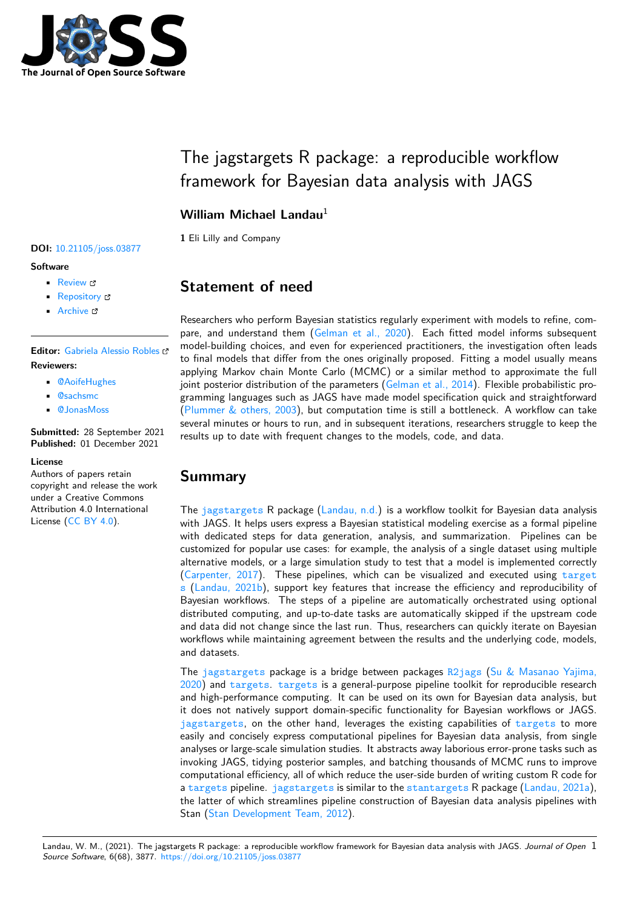

# The jagstargets R package: a reproducible workflow framework for Bayesian data analysis with JAGS

## **William Michael Landau**<sup>1</sup>

**1** Eli Lilly and Company

#### **DOI:** 10.21105/joss.03877

#### **Software**

- Review &
- [Repository](https://doi.org/10.21105/joss.03877)  $\circ$
- Archive

### **Editor:** [Gabriela A](https://github.com/ropensci/jagstargets)lessio Robles **Revie[wers:](https://doi.org/10.5281/zenodo.5745858)**

- @AoifeHughes
- @sachsmc
- @[JonasMoss](https://galessiorob.github.io/index.html)

**Submitted:** [28 Sept](https://github.com/AoifeHughes)ember 2021 **Publi[shed:](https://github.com/sachsmc)** 01 December 2021

#### **License**

Autho[rs of papers r](https://github.com/JonasMoss)etain copyright and release the work under a Creative Commons Attribution 4.0 International License (CC BY 4.0).

# **Statement of need**

Researchers who perform Bayesian statistics regularly experiment with models to refine, compare, and understand them (Gelman et al., 2020). Each fitted model informs subsequent model-building choices, and even for experienced practitioners, the investigation often leads to final models that differ from the ones originally proposed. Fitting a model usually means applying Markov chain Monte Carlo (MCMC) or a similar method to approximate the full joint posterior distribution of [the parameters \(Gelm](#page-1-0)an et al., 2014). Flexible probabilistic programming languages such as JAGS have made model specification quick and straightforward (Plummer & others, 2003), but computation time is still a bottleneck. A workflow can take several minutes or hours to run, and in subsequent iterations, researchers struggle to keep the results up to date with frequent changes to t[he models, code, and](#page-1-1) data.

## **[Summary](#page-1-2)**

The jagstargets R package (Landau, n.d.) is a workflow toolkit for Bayesian data analysis with JAGS. It helps users express a Bayesian statistical modeling exercise as a formal pipeline with dedicated steps for data generation, analysis, and summarization. Pipelines can be customized for popular use cases: for example, the analysis of a single dataset using multiple alter[native models,](https://docs.ropensci.org/jagstargets/) or a large si[mulation stu](#page-1-3)dy to test that a model is implemented correctly (Carpenter, 2017). These pipelines, which can be visualized and executed using target s (Landau, 2021b), support key features that increase the efficiency and reproducibility of Bayesian workflows. The steps of a pipeline are automatically orchestrated using optional distributed computing, and up-to-date tasks are automatically skipped if the upstream code [and data did not](#page-1-4) change since the last run. Thus, researchers can quickly iterate on [Bayesian](https://docs.ropensci.org/targets/) [w](https://docs.ropensci.org/targets/)o[rkflows while ma](#page-1-5)intaining agreement between the results and the underlying code, models, and datasets.

The jagstargets package is a bridge between packages R2jags (Su & Masanao Yajima, 2020) and targets. targets is a general-purpose pipeline toolkit for reproducible research and high-performance computing. It can be used on its own for Bayesian data analysis, but it does not natively support domain-specific functionality for Bayesian workflows or JAGS. jag[stargets](https://docs.ropensci.org/jagstargets/), on the other hand, leverages the existing [capabili](https://github.com/suyusung/R2jags)ties of [targets](#page-1-6) to more [easily](#page-1-6) and [concisely](https://docs.ropensci.org/targets/) [express co](https://docs.ropensci.org/targets/)mputational pipelines for Bayesian data analysis, from single analyses or large-scale simulation studies. It abstracts away laborious error-prone tasks such as invoking JAGS, tidying posterior samples, and batching thousands of MCMC runs to improve [computational](https://docs.ropensci.org/jagstargets/) efficiency, all of which reduce the user-side burden of writing [custom R](https://docs.ropensci.org/targets/) code for a targets pipeline. jagstargets is similar to the stantargets R package (Landau, 2021a), the latter of which streamlines pipeline construction of Bayesian data analysis pipelines with Stan (Stan Development Team, 2012).

Landau, W. M., (2021). The jagstarg[ets R packa](https://docs.ropensci.org/targets/)ge: a repro[ducible workflow](https://docs.ropensci.org/targets/) framework for Bay[esian data analys](https://docs.ropensci.org/stantargets/)is with JAGS. *[Journal of Open](#page-1-7)* 1*Source Software*, 6(68), 3877. https://doi.[org/10.21105/joss.03877](#page-1-8)